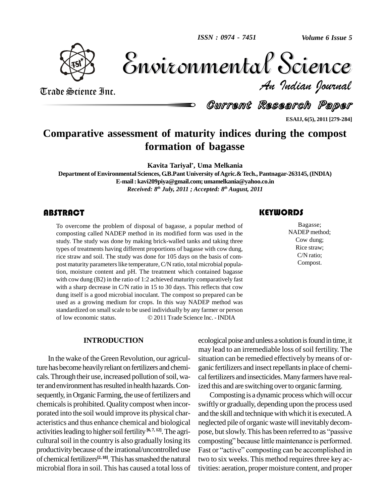

Volume 6 Issue 5 *Indian Journal* Volume 6 Issue 5

Trade Science Inc. Trade Science Inc.

Current Research Paper

**ESAIJ, 6(5), 2011 [279-284]**

# **Comparative assessment of maturity indices during the compost formation of bagasse**

**Kavita Tariyal\* , Uma Melkania**

**Department ofEnvironmental Sciences, G.B.Pant University ofAgric.&Tech., Pantnagar-263145, (INDIA) E-mail:[kavi209piya@gmail.com;](mailto:kavi209piya@gmail.com;) [umamelkania@yahoo.co.in](mailto:umamelkania@yahoo.co.in)** *Received: 8 th July, 2011 ; Accepted: 8 th August, 2011*

## **ABSTRACT**

To overcome the proble<br>composting called NAD<br>study. The study was do To overcome the problem of disposal of bagasse, a popular method of composting called NADEP method in its modified form was used in the study. The study was done by making brick-walled tanks and taking three types of treatments having different proportions of bagasse with cow dung, rice straw and soil. The study was done for 105 days on the basis of com post maturity parameters like temperature, C/N ratio, total microbial population, moisture content and pH. The treatment which contained bagasse with cow dung (B2) in the ratio of 1:2 achieved maturity comparatively fast with a sharp decrease in C/N ratio in 15 to 30 days. This reflects that cow dung itself is a good microbial inoculant. The compost so prepared can be used as a growing medium for crops. In this way NADEP method was<br>standardized on small scale to be used individually by any farmer or person<br>of low economic status. © 2011 Trade Science Inc. - INDIA standardized on small scale to be used individually by any farmer or person

#### **INTRODUCTION**

In the wake of the Green Revolution, our agriculture has become heavily reliant on fertilizers and chemicals. Through their use, increased pollution of soil, water and environment has resulted in health hazards. Consequently, in Organic Farming, the use of fertilizers and chemicals is prohibited. Quality compost when incorporated into the soil would improve its physical char acteristics and thus enhance chemical and biological activities leading to higher soil fertility [6,7, 12]. The agri- pos cultural soil in the country is also gradually losing its productivity because of the irrational/uncontrolled use Fast or "active" composting can be accomplished in of chemical fertilizers<sup>[2, 18]</sup>. This has smashed the natural tw microbial flora in soil.This has caused a total loss of

# **KEYWORDS**

Bagasse;<br>NADEP method;<br>Cow dung; Bagasse; NADEP method; Cow dung; Rice straw; C/N ratio; Compost.

ecological poise and unless a solution is found in time, it may lead to an irremediable loss of soil fertility. The situation can be remedied effectively bymeans of or ganic fertilizers and insect repellants in place of chemical fertilizers and insecticides. Many farmers have realized this and are switching over to organic farming.

Composting is a dynamic process which will occur swiftly or gradually, depending upon the process used and the skill and technique with which it is executed. A<br>neglected pile of organic waste will inevitably decom-<br>pose, but slowly. This has been referred to as ''passive neglected pile of organic waste will inevitablydecom neglected pile of organic waste will inevitably decompose, but slowly. This has been referred to as "passive composting" because little maintenance is performed. pose, but slowly. This has been referred to as "passive<br>composting" because little maintenance is performed.<br>Fast or "active" composting can be accomplished in two to six weeks. This method requires three key activities: aeration, propermoisture content, and proper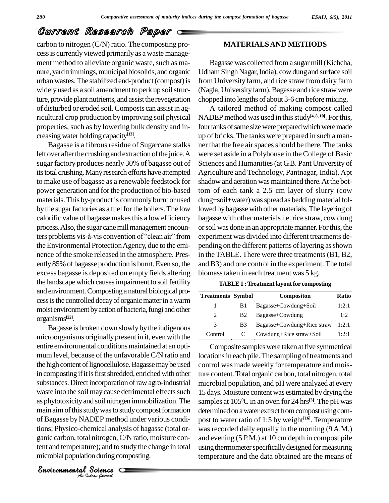carbon to nitrogen (C/N) ratio. The composting pro cessis currently viewed primarily as a waste manage ment method to alleviate organic waste, such as manure, yard trimmings, municipal biosolids, and organic urban wastes.The stabilized end-product(compost)is widely used as a soil amendment to perk up soil structure, provide plant nutrients, and assist the revegetation of disturbed or eroded soil.Composts can assist in agricultural crop production by improving soil physical properties, such as by lowering bulk density and in creasingwater holding capacity **[13]**.

Bagasse is a fibrous residue of Sugarcane stalks left over after the crushing and extraction of the juice. A sugar factory produces nearly 30% of bagasse out of its total crushing. Many research efforts have attempted to make use of bagasse as a renewable feedstock for power generation and forthe production of bio-based materials. This by-product is commonly burnt or used by the sugar factories as a fuel for the boilers. The low calorific value of bagasse makesthis a low efficiency process. Also, the sugar cane mill management encouncalorific value of bagasse makes this a low efficiency bagasse with<br>process. Also, the sugar cane mill management encoun-<br>ters problems vis-à-vis convention of "clean air" from experiment the Environmental Protection Agency, due to the eminence of the smoke released in the atmosphere. Presently 85% of bagasse production is burnt. Even so, the excess bagasse is deposited on empty fields altering the landscape which causes impairment to soil fertility and environment.Compostinga natural biological pro cess is the controlled decay of organic matter in a warm moist environment by action of bacteria, fungi and other organisms **[22]**.

of Bagasse by NADEP method under various condi-DEP method u<br>emical analysis<br>l nitrogen, C/N<br>ure); and to stud<br>on during comp<br>Science Bagasse is broken down slowly bythe indigenous microorganisms originally present in it, even with the entire environmental conditions maintained at an optimum level, because of the unfavorableC/N ratio and the high content of lignocellulose. Bagasse may be used in composting if it is first shredded, enriched with other substances.Direct incorporation ofrawagro-industrial waste into the soil may cause detrimental effects such as phytotoxicityand soil nitrogen immobilization.The main aim of this study was to study compost formation tions; Physico-chemical analysis of bagasse (total or ganic carbon, total nitrogen, C/N ratio, moisture content and temperature); and to study the change in total microbial population during composting.

**MATERIALSAND METHODS**

Bagassewas collected froma sugarmill(Kichcha, Udham Singh Nagar, India), cow dung and surface soil from University farm, and rice straw from dairy farm (Nagla, University farm). Bagasse and rice straw were chopped into lengths of about 3-6 cmbeforemixing.

A tailored method of making compost called NADEP method was used in thisstudy **[4, 8, 10]**. Forthis, four tanks of same size were prepared which were made up of bricks. The tanks were prepared in such a man ner that the free air spaces should be there. The tanks were set aside in a Polyhouse in theCollege of Basic Sciences and Humanities (at G.B. Pant University of Agriculture and Technology, Pantnagar, India). Apt shadow and aeration was maintained there. At the bottom of each tank a 2.5 cm layer of slurry (cow dung+soil+water) was spread as bedding material followed by bagasse with other materials. The layering of bagasse with other materials i.e. rice straw, cow dung or soil was done in an appropriate manner. For this, the experiment was divided into different treatments de pending on the different patterns of layering as shown in the TABLE. There were three treatments (B1, B2, and B3) and one control in the experiment. The total biomasstaken in each treatment was 5 kg.

| <b>TABLE 1: Treatment layout for composting</b> |  |
|-------------------------------------------------|--|
|-------------------------------------------------|--|

| <b>Treatments Symbol</b> |                       | Compositon                 | Ratio |
|--------------------------|-----------------------|----------------------------|-------|
|                          | B1                    | Bagasse+Cowdung+Soil       | 1:2:1 |
| 2                        | <b>B2</b>             | Bagasse+Cowdung            | 1:2   |
| 3                        | <b>B</b> <sub>3</sub> | Bagasse+Cowdung+Rice straw | 1:2:1 |
| Control                  |                       | Cowdung+Rice straw+Soil    | 1:2:1 |

Composite samples were taken at five symmetrical locations in each pile. The sampling of treatments and control was made weekly for temperature and moisture content.Total organic carbon, total nitrogen, total microbial population, and pH were analyzed at every 15 days.Moisture contentwas estimated bydrying the samples at 105 <sup>0</sup>C in an oven for 24 hrs **[3]**. The pH was determined on a water extract from compost using compost to water ratio of 1:5 by weight **[16]**. Temperature was recorded daily equally in the morning (9 A.M.) and evening (5 P.M.) at 10 cm depth in compost pile using thermometer specifically designed for measuring temperature and the data obtained are the means of

*Indian Journal*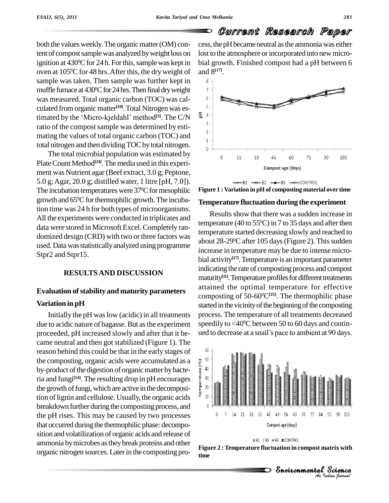both the values weekly. The organic matter (OM) content of compost sample was analyzed by weight loss on ignition at 430°C for 24 h. For this, sample was kept in bial group oven at 105<sup>°</sup>C for 48 hrs. After this, the dry weight of and sample was taken. Then sample was further kept in  $\frac{8}{3}$ muffle furnace at 430°C for 24 hrs. Then final dry weight was measured. Total organic carbon (TOC) was cal-<br>culated from organic matter<sup>[19]</sup> Total Nitrogen was esculated from organic matter<sup>[19]</sup>. Total Nitrogen was eswas measured. Total organic carbon (TOC) was calculated from organic matter<sup>[19]</sup>. Total Nitrogen was estimated by the 'Micro-kjeldahl' method<sup>[3]</sup>. The C/N ratio of the compost sample was determined by esti- $\frac{3}{2}$ mating the values of total organic carbon (TOC) and  $\frac{1}{1}$ total nitrogen and then dividing TOC by total nitrogen.

The total microbial population was estimated by Plate Count Method<sup>[24]</sup>. The media used in this experiment was Nutrient agar (Beef extract, 3.0 g; Peptone, 5.0 g;Agar, 20.0 g; distilled water, 1 litre [pH, 7.0]). The incubation temperatures were  $37^{\circ}$ C for mesophilic Figure growth and 65°C for thermophilic growth. The incubation time was 24 h for both types of microorganisms. All the experiments were conducted in triplicates and data were stored in Microsoft Excel.Completely ran domized design (CRD) with two or three factors was used. Data was statistically analyzed using programme Stpr2 and Stpr15.

### **RESULTSAND DISCUSSION**

### **Evaluation ofstability and maturity parameters**

### **Variation in pH**

Initially the pH waslow (acidic) in all treatments due to acidic nature of bagasse. But as the experiment proceeded, pH increased slowly and after that it be- ued to decrease at a snail's pace to ambient at 90 days. came neutral and then got stabilized (Figure 1). The reason behind this could be that in the early stages of the composting, organic acids were accumulated as a<br>by-product of the digestion of organic matter by bacte-<br>ria and fungi<sup>[14]</sup>. The resulting drop in pH encourages<br>the growth of fungi, which are active in the decomposi-<br> by-product of the digestion of organic matter by bacteria and fungi<sup>[14]</sup>. The resulting drop in pH encourages  $\frac{1}{2}$  30 <sup>-</sup> the growth of fungi, which are active in the decomposition of lignin and cellulose. Usually, the organic acids  $\ddot{F}$  10 breakdown further during the composting process, and  $\qquad \qquad$ the pH rises. This may be caused by two processes that occurred during the thermophilic phase: decomposition and volatilization of organic acids and release of ammonia bymicrobes astheybreak proteins and other organic nitrogen sources.Laterin the composting pro-

cess, the pH became neutral as the ammonia was either lost to the atmosphere or incorporated into new microbial growth. Finished compost had a pH between 6 and 8 **[17]**.



 $\rightarrow$   $-81$   $\rightarrow$   $-82$   $\rightarrow$   $-83$   $\rightarrow$  CONTROL **Figure 1 : Variation in pH of composting material over time**

# **Temperature fluctuation during the experiment**

Results show that there was a sudden increase in temperature (40 to 55<sup>o</sup>C) in 7 to 35 days and after then temperature started decreasing slowly and reached to about 28-29 <sup>0</sup>C after 105 days(Figure 2). Thissudden increase in temperature may be due to intense micro bial activity **[17]**.Temperature is an important parameter indicating the rate of composting process and compost maturity<sup>[11]</sup>. Temperature profiles for different treatments attained the optimal temperature for effective composting of 50-60 <sup>0</sup>C**[25]**. The thermophilic phase started in the vicinity of the beginning of the composting process. The temperature of all treatments decreased<br>speedily to <40<sup>o</sup>C between 50 to 60 days and contin-<br>ued to decrease at a snail's pace to ambient at 90 days. speedily to  $<$  40 $^{\rm o}$ C between 50 to 60 days and contin-



#### ※B1 = B2 > B3 # CONTROL

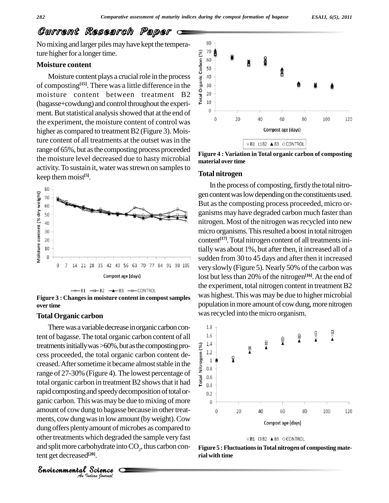No mixing and larger piles may have kept the temperature higher for a longer time.

### **Moisture content**

isture content<br>
isture content<br>
Moisture content plays a crucial role in the process<br>
omposting<sup>[15]</sup>. There was a little difference in the<br>
isture content between treatment B2<br>
isture content between treatment B2<br>
isture of composting<sup>[15]</sup>. There was a little difference in the  $\frac{6}{5}$  30 moisture content between treatment B2  $\frac{3}{8}$  20 (bagasse+cowdung) and control throughout the experi-<br> $\frac{2}{10}$ ment. But statistical analysis showed that at the end of the experiment, the moisture content of control was higher as compared to treatment B2 (Figure 3). Moisture content of all treatments at the outset was in the range of 65%, but as the composting process proceeded the moisture level decreased due to hasty microbial activity. To sustain it, water was strewn on samples to keep themmoist **[5]**.





#### **Total Organic carbon**

ments, cow dung was in low amount (by weight). Cow was in low amou<br>amount of micro-<br>thich degraded<br>oohydrate into C<br> $^{20}$ .<br>Science There was a variable decrease in organic carbon content of bagasse.The total organic carbon content of all treatments initially was >60%, but as the composting process proceeded, the total organic carbon content decreased. After sometime it became almost stable in the range of 27-30% (Figure 4). The lowest percentage of total cess proceeded, the total organic carbon content de- $\frac{5}{8}$   $\frac{1.2}{1}$ creased. After sometime it became almost stable in the range of 27-30% (Figure 4). The lowest percentage of  $\frac{2}{\pi}$   $_{0.6}^{\infty}$ total organic carbon in treatment B2 shows that it had  $\frac{3}{5}$   $\frac{1}{0.4}$ rapid composting and speedy decomposition of total organic carbon. This was may be due to mixing of more  $\qquad \qquad$  0 amount of cow dung to bagasse because in other treatdung offers plenty amount of microbes as compared to other treatments which degraded the sample very fast and split more carbohydrate into  $CO_2$ , thus carbon content get decreased **[20]**.



**Figure 4 : Variation in Total organic carbon of composting material over time**

#### **Total nitrogen**

In the process of composting, firstly the total nitrogen content was low depending on the constituents used. But asthe composting process proceeded, micro or ganisms may have degraded carbon much faster than nitrogen. Most of the nitrogen was recycled into new micro organisms. This resulted a boost in total nitrogen content<sup>[17]</sup>. Total nitrogen content of all treatments initially was about 1%, but after then, it increased all of a sudden from 30 to 45 days and after then it increased very slowly (Figure 5). Nearly 50% of the carbon was lost but lessthan 20% of the nitrogen **[16]**.At the end of the experiment, total nitrogen content in treatment B2 was highest. This was may be due to higher microbial population in more amount of cow dung, more nitrogen Figure 3 : Changes in moisture content in compost samples was ingliest. This was hiay be due to highe<br>over time population in more amount of cow dung, more<br>Total Organic carbon was recycled into the micro organism.





**Figure 5 :FluctuationsinTotal nitrogen of composting mate rial with time**

*Indian Journal*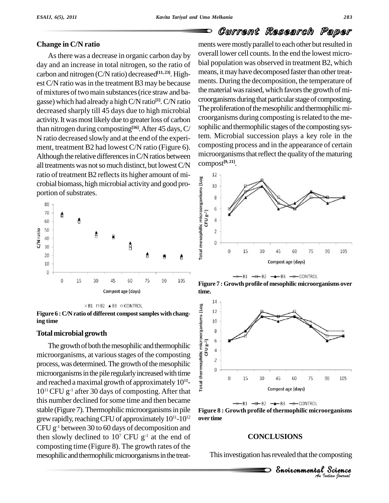### **Change in C/N ratio**

Asthere was a decrease in organic carbon day by day and an increase in total nitrogen, so the ratio of carbon and nitrogen (C/N ratio) decreased **[11, 23]**. High est C/N ratio was in the treatment B3 may be because of mixtures of two main substances (rice straw and bagasse) which had already a high C/N ratio<sup>[1]</sup>. C/N ratio croorga decreased sharply till 45 days due to high microbial activity.Itwasmost likelydue to greaterloss of carbon than nitrogen during composting **[16]**.After 45 days,C/ N ratio decreased slowly and at the end of the experi ment, treatment B2 had lowest C/N ratio (Figure 6). Although the relative differences in  $C/N$  ratios between all treatments was not so much distinct, but lowest C/N crobial biomass, high microbial activity and good proportion of substrates.







#### **Total microbial growth**

The growth of both the mesophilic and thermophilic  $\frac{8}{5}$   $\frac{2}{3}$   $\frac{6}{4}$  roorganisms at various stages of the composting microorganisms, at various stages of the composting  $\frac{3}{2}$ process, was determined. The growth of the mesophilic  $\frac{2}{9}$ microorganisms in the pile regularly increased with time and reached amaximal growth of approximately 10  $10^{11}$  CFU g<sup>-1</sup> after 30 days of composting. After that  $\pm$ this number declined forsome time and then became stable (Figure 7). Thermophilic microorganisms in pile grew rapidly, reaching CFU of approximately  $10^{11}$ - $10^{12}$  over ti CFU g -1 between 30 to 60 days of decomposition and then slowly declined to  $10^7$  CFU  $g^{-1}$  at the end of composting time (Figure 8). The growth rates of the mesophilic and thermophilic microorganisms in the treat-

ments were mostly parallel to each other but resulted in overall lower cell counts.In the end the lowest micro bial population was observed in treatment B2, which means, it may have decomposed faster than other treatments. During the decomposition, the temperature of the material was raised, which favors the growth of microorganisms during that particular stage of composting. The proliferation of the mesophilic and thermophilic microorganisms during composting is related to the mesophilic and thermophilic stages of the composting system. Microbial succession plays a key role in the composting process and in the appearance of certain microorganisms that reflect the quality of the maturing compost **[9, 21]**.











### **CONCLUSIONS**

 *Indian Journal* nposting<br>Science This investigation has revealed that the composting